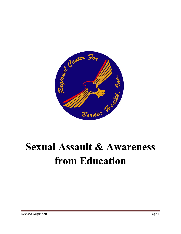

# **Sexual Assault & Awareness from Education**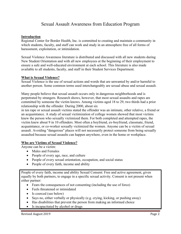# Sexual Assault Awareness from Education Program

#### **Introduction**

Regional Center for Border Health, Inc. is committed to creating and maintain a community in which students, faculty, and staff can work and study in an atmosphere free of all forms of harassment, exploitation, or intimidation.

Sexual Violence Awareness literature is distributed and discussed with all new students during New Student Orientation and with all new employees at the beginning of their employment to ensure a safe and well-educated environment at each school. This literature is also made available to all students, faculty, and staff in their Student Services Department.

#### **What is Sexual Violence?**

Sexual Violence is the use of sexual actions and words that are unwanted by and/or harmful to another person. Some common terms used interchangeably are sexual abuse and sexual assault.

Many people believe that sexual assault occurs only in dangerous neighborhoods and is perpetrated by strangers. Research shows, however, that most sexual assaults and rapes are committed by someone the victim knows. Among victims aged 18 to 29, two thirds had a prior relationship with the offender. During 2000, about six

in ten rape or sexual assault victims stated the offender was an intimate, other relative, a friend or an acquaintance. A study of sexual victimization of college women showed that most victims knew the person who sexually victimized them. For both completed and attempted rapes, the victim knew about 9 in 10 offenders. Most often a boyfriend, ex-boyfriend, classmate, friend, acquaintance, or co-worker sexually victimized the women. Anyone can be a victim of sexual assault. Avoiding "dangerous" places will not necessarily protect someone from being sexually assaulted because sexual assaults can happen anywhere, even in the home or workplace.

#### **Who are Victims of Sexual Violence?**

Anyone can be a victim:

- Males and Females
- People of every age, race, and culture
- People of every sexual orientation, occupation, and social status
- People of every faith, income and ability

People of every faith, income and ability Sexual Consent: Free and active agreement, given equally by both partners, to engage in a specific sexual activity. Consent is not present when either partner:

- Fears the consequences of not consenting (including the use of force)
- Feels threatened or intimidated
- Is coerced (see below)
- Says no, either verbally or physically (e.g. crying, kicking, or pushing away)
- Has disabilities that prevent the person from making an informed choice
- Is incapacitated by alcohol or drugs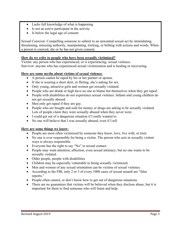- Lacks full knowledge of what is happening
- Is not an active participant in the activity
- Is below the legal age of consent

Sexual Coercion: Compelling someone to submit to an unwanted sexual act by intimidating, threatening, misusing authority, manipulating, tricking, or bribing with actions and words. When a person is coerced, she or he has not given consent.

# **How do we refer to people who have been sexually victimized?**

Victim: any person who has experienced, or is experiencing, sexual violence. Survivor: anyone who has experienced sexual victimization and is healing or recovering.

# **Here are some myths about victims of sexual violence**:

- A person cannot be raped by his or her partner or spouse.
- If she is wearing a short skirt, or flirting, she's asking for sex.
- Only young, attractive girls and women get sexually violated.
- People who are drunk or high have no one to blame but themselves when they get raped.
- People with disabilities do not experience sexual violence. Infants and young children do not get sexually abused.
- Men only get raped if they are gay.
- People who are bought and sold for money or drugs are asking to be sexually violated. Lots of people claim they were sexually abused when they never were.
- I could get out of a dangerous situation if I really wanted to.
- No one will believe that I was sexually abused, even if I tell.

# **Here are some things we know:**

- People are most often victimized by someone they know, love, live with, or trust.
- No one is ever responsible for being a victim. The person who acts in sexually violent ways is always responsible.
- Everyone has the right to say "No" to sexual contact.
- People may want attention, affection, even sexual intimacy; but no one wants to be sexually violated.
- Older people, people with disabilities
- Children may be especially vulnerable to being sexually victimized.
- Men and women of any sexual orientation can be victims of sexual violence.
- According to the FBI, only 2 or 3 of every 1000 cases of sexual assault are "false reports."
- People often cannot, or don't know how to get out of dangerous situations.
- There are no guarantees that victims will be believed when they disclose abuse, but it is important for them to find someone who will listen and help.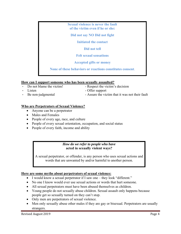| <b>Sexual violence is never the fault</b><br>of the victim even if he or she: |  |  |  |
|-------------------------------------------------------------------------------|--|--|--|
| Did not say NO Did not fight                                                  |  |  |  |
| Initiated the contact                                                         |  |  |  |
| Did not tell                                                                  |  |  |  |
| <b>Felt sexual sensations</b>                                                 |  |  |  |
| <b>Accepted gifts or money</b>                                                |  |  |  |
| None of these behaviors or reactions constitutes consent.                     |  |  |  |

#### **How can I support someone who has been sexually assaulted?**

- 
- Do not blame the victim! Respect the victim's decision - Listen - Offer support
- 
- Be non-judgmental Assure the victim that it was not their fault

# **Who are Perpetrators of Sexual Violence?**

- Anyone can be a perpetrator
- Males and Females
- People of every age, race, and culture
- People of every sexual orientation, occupation, and social status
- People of every faith, income and ability

#### *How do we refer to people who have*  **acted in sexually violent ways?**

A sexual perpetrator, or offender, is any person who uses sexual actions and words that are unwanted by and/or harmful to another person.

# **Here are some myths about perpetrators of sexual violence:**

- I would know a sexual perpetrator if I saw one they look "different."
- No one I know would ever use sexual actions or words that hurt someone.
- All sexual perpetrators must have been abused themselves as children.
- Young people do not sexually abuse children. Sexual assault only happens because people get so sexually turned on they can't stop.
- Only men are perpetrators of sexual violence.
- Men only sexually abuse other males if they are gay or bisexual. Perpetrators are usually strangers.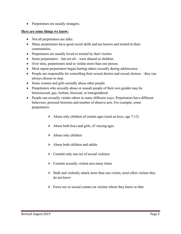• Perpetrators are usually strangers.

#### **Here are some things we know:**

- Not all perpetrators are alike.
- Many perpetrators have good social skills and are known and trusted in their communities.
- Perpetrators are usually loved or trusted by their victims
- $\bullet$  Some perpetrators but not all were abused as children.
- Over time, perpetrators tend to violate more than one person.
- Most repeat perpetrators began hurting others sexually during adolescence.
- People are responsible for controlling their sexual desires and sexual choices they can always choose to stop.
- Some women and girls sexually abuse other people.
- Perpetrators who sexually abuse or assault people of their own gender may be heterosexual, gay, lesbian, bisexual, or transgendered.
- People can sexually violate others in many different ways. Perpetrators have different behaviors, personal histories and number of abusive acts. For example, some perpetrators:
	- $\triangleright$  Abuse only children of certain ages (such as boys, age 7-12)
	- $\triangleright$  Abuse both boys and girls, of varying ages
	- $\triangleright$  Abuse only children
	- $\triangleright$  Abuse both children and adults
	- $\triangleright$  Commit only one act of sexual violence
	- $\triangleright$  Commit sexually violent acts many times
	- $\triangleright$  Stalk and violently attack more than one victim, most often victims they do not know
	- $\triangleright$  Force sex or sexual contact on victims whom they know or date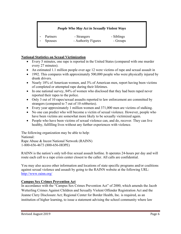# *People Who May Act in Sexually Violent Ways*

|        | Partners | - Strangers         | - Siblings |
|--------|----------|---------------------|------------|
| $\sim$ | Spouses  | - Authority Figures | - Groups   |

#### **National Statistics on Sexual Victimization**

- Every 5 minutes, one rape is reported in the United States (compared with one murder every 27 minutes).
- An estimated 1.1 million people over age 12 were victims of rape and sexual assault in
- 1992. This compares with approximately 500,000 people who were physically injured by drunk drivers.
- Nearly 18% of American women, and 3% of American men, report having been victims of completed or attempted rape during their lifetimes.
- In one national survey, 84% of women who disclosed that they had been raped never reported their rapes to the police.
- Only 3 out of 10 rapes/sexual assaults reported to law enforcement are committed by strangers (compared to 7 out of 10 robberies).
- Every year approximately 1 million women and 371,000 men are victims of stalking.
- No one can predict who will become a victim of sexual violence. However, people who have been victims are somewhat more likely to be sexually victimized again.
- People who have been victims of sexual violence can, and do, recover. They can live healthy, fulfilling lives without any further experiences with violence.

The following organization may be able to help: National: Rape Abuse & Incest National Network (RAINN) 1-800-656-4673 (800-656-HOPE)

RAINN is the nation's only toll-free sexual assault hotline. It operates 24-hours per day and will route each call to a rape crisis center closest to the caller. All calls are confidential.

You may also access other information and locations of state specific programs and/or coalitions against sexual violence and assault by going to the RAINN website at the following URL: http://www.rainn.org/

# **Campus Sex Crimes Prevention Act**

In accordance with the "Campus Sex Crimes Prevention Act" of 2000, which amends the Jacob Wetterling Crimes Against Children and Sexually Violent Offender Registration Act and the Jeanne Clery Disclosure Act; Regional Center for Border Health, Inc. is required, as an institution of higher learning, to issue a statement advising the school community where law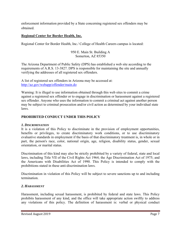enforcement information provided by a State concerning registered sex offenders may be obtained.

# **Regional Center for Border Health, Inc.**

Regional Center for Border Health, Inc./ College of Health Careers campus is located:

#### 950 E. Main St. Building A Somerton, AZ 85350

The Arizona Department of Public Safety (DPS) has established a web site according to the requirements of A.R.S. 13-3827. DPS is responsible for maintaining the site and annually verifying the addresses of all registered sex offenders.

A list of registered sex offenders in Arizona may be accessed at: http://az.gov/webapp/offender/main.do

Warning: It is illegal to use information obtained through this web sites to commit a crime against a registered sex offender or to engage in discrimination or harassment against a registered sex offender. Anyone who uses the information to commit a criminal act against another person may be subject to criminal prosecution and/or civil action as determined by your individual state laws.

# **PROHIBITED CONDUCT UNDER THIS POLICY**

# *1. DISCRIMINATION*

It is a violation of this Policy to discriminate in the provision of employment opportunities, benefits or privileges, to create discriminatory work conditions, or to use discriminatory evaluative standards in employment if the basis of that discriminatory treatment is, in whole or in part, the person's race, color, national origin, age, religion, disability status, gender, sexual orientation, or marital status.

Discrimination of this kind may also be strictly prohibited by a variety of federal, state and local laws, including Title VII of the Civil Rights Act 1964; the Age Discrimination Act of 1975; and the Americans with Disabilities Act of 1990. This Policy is intended to comply with the prohibitions stated in these anti-discrimination laws.

Discrimination in violation of this Policy will be subject to severe sanctions up to and including termination.

# *2. HARASSMENT*

Harassment, including sexual harassment, is prohibited by federal and state laws. This Policy prohibits harassment of any kind, and the office will take appropriate action swiftly to address any violations of this policy. The definition of harassment is: verbal or physical conduct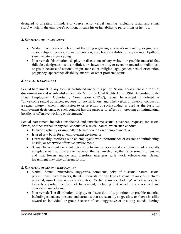designed to threaten, intimidate or coerce. Also, verbal taunting (including racial and ethnic slurs) which, in the employee's opinion, impairs his or her ability to perform his or her job.

#### *3. EXAMPLES OF HARASSMENT*

- Verbal: Comments which are not flattering regarding a person's nationality, origin, race, color, religion, gender, sexual orientation, age, body disability, or appearance. Epithets, slurs, negative stereotyping.
- Non-verbal: Distribution, display or discussion of any written or graphic material that ridicules, denigrates insults, belittles, or shows hostility or aversion toward an individual, or group because of national origin, race color, religion, age, gender, sexual orientation, pregnancy, appearance disability, marital or other protected status.

#### *4. SEXUAL HARASSMENT*

Sexual harassment in any form is prohibited under this policy. Sexual harassment is a form of discrimination and is unlawful under Title VII of the Civil Rights Act of 1964. According to the Equal Employment Opportunity Commission (EEOC), sexual harassment is defined as "unwelcome sexual advances, requests for sexual favors, and other verbal or physical conduct of a sexual nature... when... submission to or rejection of such conduct is used as the basis for employment decisions... or such conduct has the purpose or effect of... creating an intimidating, hostile, or offensive working environment."

Sexual harassment includes unsolicited and unwelcome sexual advances, requests for sexual favors, or other verbal or physical conduct of a sexual nature, when such conduct:

- Is made explicitly or implicitly a term or condition of employment, or
- Is used as a basis for an employment decision, or
- Unreasonably interferes with an employee's work performance or creates an intimidating, hostile, or otherwise offensive environment.
- Sexual harassment does not refer to behavior or occasional compliments of a socially acceptable nature. It refers to behavior that is unwelcome, that is personally offensive, and that lowers morale and therefore interferes with work effectiveness. Sexual harassment may take different forms.

#### *5. EXAMPLES OF SEXUAL HARASSMENT*

- Verbal: Sexual innuendoes, suggestive comments, joke of a sexual nature, sexual propositions, lewd remarks, threats. Requests for any type of sexual favor (this includes repeated, unwelcome requests for dates). Verbal abuse or "kidding" which is oriented towards a prohibitive form of harassment, including that which is sex oriented and considered unwelcome.
- Non-verbal: The distribution, display, or discussion of any written or graphic material, including calendars, posters, and cartoons that are sexually suggestive, or shows hostility toward an individual or group because of sex; suggestive or insulting sounds; leering;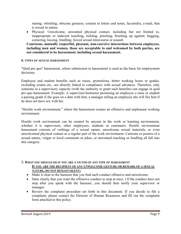staring; whistling; obscene gestures; content in letters and notes, facsimiles, e-mail, that is sexual in nature.

 Physical: Unwelcome, unwanted physical contact, including but not limited to, inappropriate or indecent touching, tickling, pinching, brushing up against, hugging, cornering, kissing, fondling; forced sexual intercourse or assault.

**Courteous, mutually respectful, pleasant, non-coercive interactions between employees, including men and women, those are acceptable to and welcomed by both parties, are not considered to be harassment, including sexual harassment.** 

#### *6. TYPES OF SEXUAL HARASSMENT*

"Quid pro quo" harassment, where submission to harassment is used as the basis for employment decisions.

Employee and student benefits such as raises, promotions, better working hours or grades, excluding exams etc., are directly linked to compliance with sexual advances. Therefore, only someone in a supervisory capacity (with the authority to grant such benefits) can engage in quid pro quo harassment. Example: A supervisor/instructor promising an employee a raise or student a passing grade if she goes on a date with him; a manager telling an employee she will fire him if he does not have sex with her.

"Hostile work environment," where the harassment creates an offensive and unpleasant working environment.

Hostile work environment can be created by anyone in the work or learning environment, whether it is supervisors, other employees, students or customers. Hostile environment harassment consists of verbiage of a sexual nature, unwelcome sexual materials, or even unwelcomed physical contact as a regular part of the work environment. Cartoons or posters of a sexual nature, vulgar or lewd comments or jokes, or unwanted touching or fondling all fall into this category.

#### *7. WHAT YOU SHOULD DO IF YOU ARE A VICTIM OF ANY TYPE OF HARASSMENT* **IF YOU ARE THE RECIPIENT OF ANY UNWELCOME GESTURE OR REMARK OF A SEXUAL NATURE, DO NOT REMAIN SILENT:**

- Make it clear to the harasser that you find such conduct offensive and unwelcome.
- State clearly that you want the offensive conduct to stop at once. ) If the conduct does not stop after you speak with the harasser, you should then notify your supervisor or manager.
- Review the complaint procedure set forth in this document. If you decide to file a complaint, please contact the Director of Human Resources and fill out the complaint form attached to this policy.